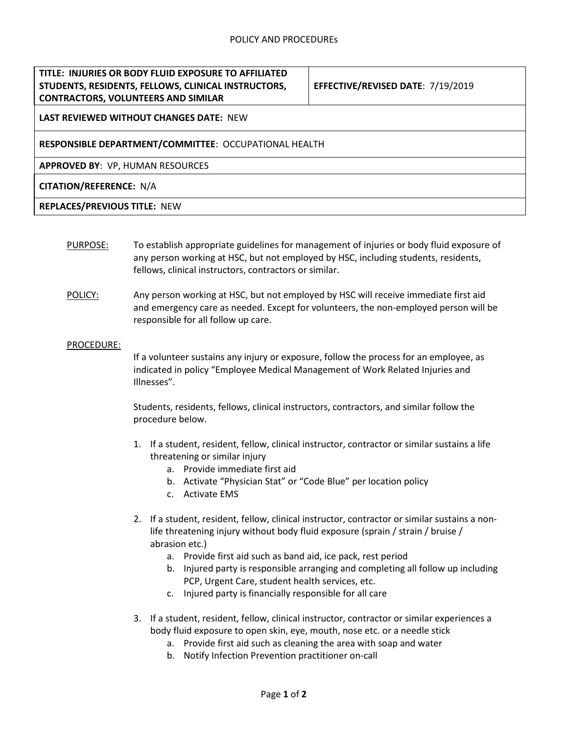## **TITLE: INJURIES OR BODY FLUID EXPOSURE TO AFFILIATED STUDENTS, RESIDENTS, FELLOWS, CLINICAL INSTRUCTORS, CONTRACTORS, VOLUNTEERS AND SIMILAR**

**EFFECTIVE/REVISED DATE**: 7/19/2019

# **LAST REVIEWED WITHOUT CHANGES DATE:** NEW

#### **RESPONSIBLE DEPARTMENT/COMMITTEE**: OCCUPATIONAL HEALTH

**APPROVED BY**: VP, HUMAN RESOURCES

### **CITATION/REFERENCE:** N/A

#### **REPLACES/PREVIOUS TITLE:** NEW

- PURPOSE: To establish appropriate guidelines for management of injuries or body fluid exposure of any person working at HSC, but not employed by HSC, including students, residents, fellows, clinical instructors, contractors or similar.
- POLICY: Any person working at HSC, but not employed by HSC will receive immediate first aid and emergency care as needed. Except for volunteers, the non-employed person will be responsible for all follow up care.

#### PROCEDURE:

If a volunteer sustains any injury or exposure, follow the process for an employee, as indicated in policy "Employee Medical Management of Work Related Injuries and Illnesses".

Students, residents, fellows, clinical instructors, contractors, and similar follow the procedure below.

- 1. If a student, resident, fellow, clinical instructor, contractor or similar sustains a life threatening or similar injury
	- a. Provide immediate first aid
	- b. Activate "Physician Stat" or "Code Blue" per location policy
	- c. Activate EMS
- 2. If a student, resident, fellow, clinical instructor, contractor or similar sustains a nonlife threatening injury without body fluid exposure (sprain / strain / bruise / abrasion etc.)
	- a. Provide first aid such as band aid, ice pack, rest period
	- b. Injured party is responsible arranging and completing all follow up including PCP, Urgent Care, student health services, etc.
	- c. Injured party is financially responsible for all care
- 3. If a student, resident, fellow, clinical instructor, contractor or similar experiences a body fluid exposure to open skin, eye, mouth, nose etc. or a needle stick
	- a. Provide first aid such as cleaning the area with soap and water
	- b. Notify Infection Prevention practitioner on-call